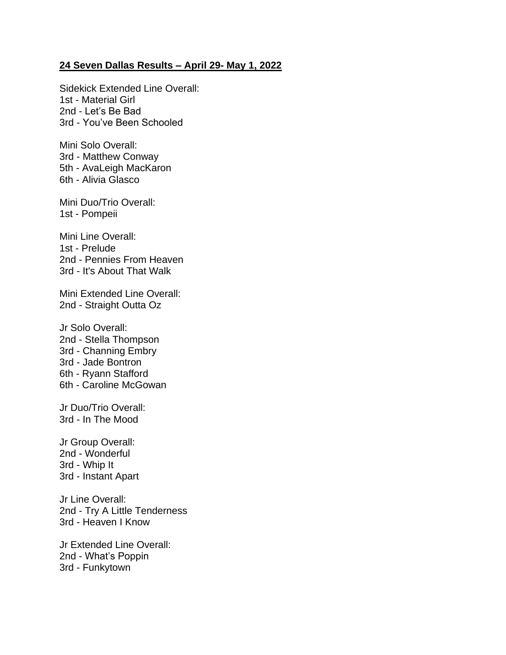## **24 Seven Dallas Results – April 29- May 1, 2022**

Sidekick Extended Line Overall: 1st - Material Girl 2nd - Let's Be Bad 3rd - You've Been Schooled

Mini Solo Overall: 3rd - Matthew Conway 5th - AvaLeigh MacKaron 6th - Alivia Glasco

Mini Duo/Trio Overall: 1st - Pompeii

Mini Line Overall: 1st - Prelude 2nd - Pennies From Heaven 3rd - It's About That Walk

Mini Extended Line Overall: 2nd - Straight Outta Oz

Jr Solo Overall: 2nd - Stella Thompson 3rd - Channing Embry 3rd - Jade Bontron 6th - Ryann Stafford 6th - Caroline McGowan

Jr Duo/Trio Overall: 3rd - In The Mood

Jr Group Overall: 2nd - Wonderful 3rd - Whip It 3rd - Instant Apart

Jr Line Overall: 2nd - Try A Little Tenderness 3rd - Heaven I Know

Jr Extended Line Overall: 2nd - What's Poppin 3rd - Funkytown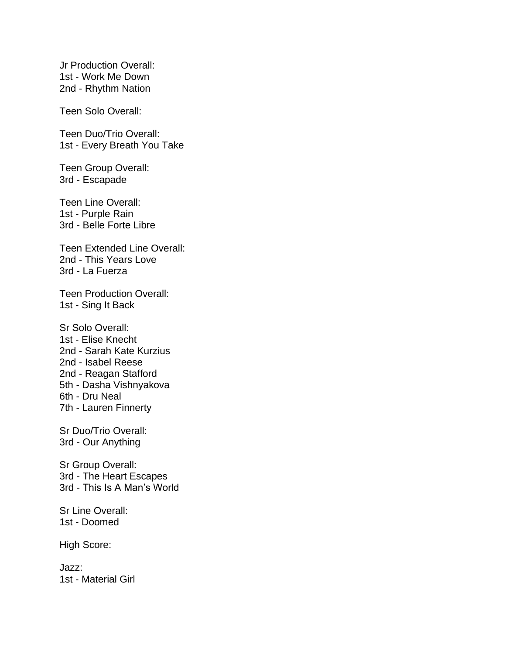Jr Production Overall: 1st - Work Me Down 2nd - Rhythm Nation

Teen Solo Overall:

Teen Duo/Trio Overall: 1st - Every Breath You Take

Teen Group Overall: 3rd - Escapade

Teen Line Overall: 1st - Purple Rain 3rd - Belle Forte Libre

Teen Extended Line Overall: 2nd - This Years Love 3rd - La Fuerza

Teen Production Overall: 1st - Sing It Back

Sr Solo Overall: 1st - Elise Knecht 2nd - Sarah Kate Kurzius 2nd - Isabel Reese 2nd - Reagan Stafford 5th - Dasha Vishnyakova 6th - Dru Neal 7th - Lauren Finnerty

Sr Duo/Trio Overall: 3rd - Our Anything

Sr Group Overall: 3rd - The Heart Escapes 3rd - This Is A Man's World

Sr Line Overall: 1st - Doomed

High Score:

Jazz: 1st - Material Girl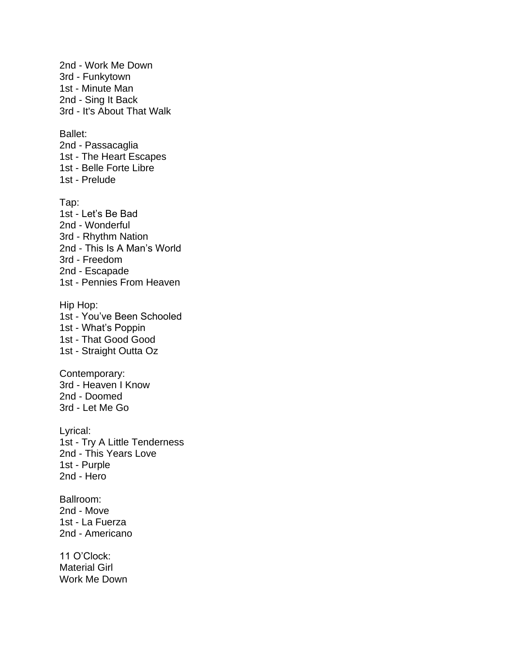2nd - Work Me Down 3rd - Funkytown 1st - Minute Man 2nd - Sing It Back 3rd - It's About That Walk Ballet: 2nd - Passacaglia 1st - The Heart Escapes 1st - Belle Forte Libre 1st - Prelude Tap: 1st - Let's Be Bad 2nd - Wonderful 3rd - Rhythm Nation 2nd - This Is A Man's World 3rd - Freedom 2nd - Escapade 1st - Pennies From Heaven Hip Hop: 1st - You've Been Schooled 1st - What's Poppin 1st - That Good Good 1st - Straight Outta Oz Contemporary: 3rd - Heaven I Know 2nd - Doomed 3rd - Let Me Go Lyrical: 1st - Try A Little Tenderness 2nd - This Years Love 1st - Purple 2nd - Hero Ballroom: 2nd - Move 1st - La Fuerza 2nd - Americano 11 O'Clock: Material Girl Work Me Down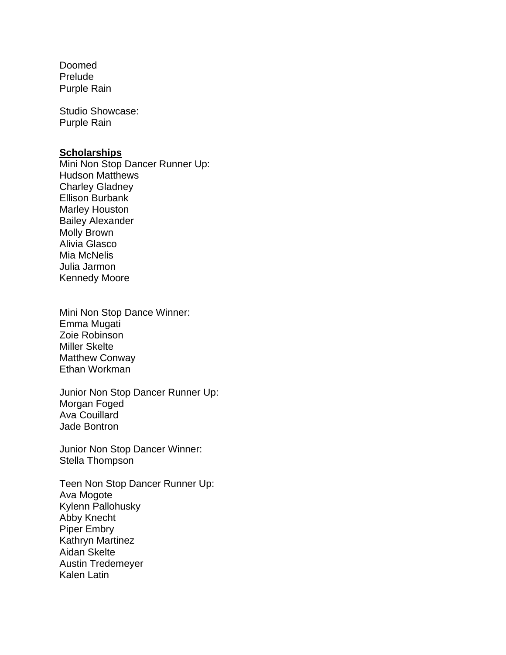Doomed Prelude Purple Rain

Studio Showcase: Purple Rain

## **Scholarships**

Mini Non Stop Dancer Runner Up: Hudson Matthews Charley Gladney Ellison Burbank Marley Houston Bailey Alexander Molly Brown Alivia Glasco Mia McNelis Julia Jarmon Kennedy Moore

Mini Non Stop Dance Winner: Emma Mugati Zoie Robinson Miller Skelte Matthew Conway Ethan Workman

Junior Non Stop Dancer Runner Up: Morgan Foged Ava Couillard Jade Bontron

Junior Non Stop Dancer Winner: Stella Thompson

Teen Non Stop Dancer Runner Up: Ava Mogote Kylenn Pallohusky Abby Knecht Piper Embry Kathryn Martinez Aidan Skelte Austin Tredemeyer Kalen Latin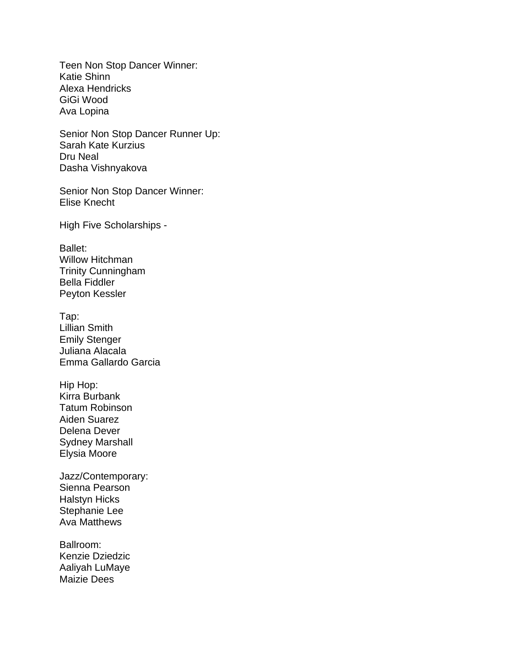Teen Non Stop Dancer Winner: Katie Shinn Alexa Hendricks GiGi Wood Ava Lopina

Senior Non Stop Dancer Runner Up: Sarah Kate Kurzius Dru Neal Dasha Vishnyakova

Senior Non Stop Dancer Winner: Elise Knecht

High Five Scholarships -

Ballet: Willow Hitchman Trinity Cunningham Bella Fiddler Peyton Kessler

Tap: Lillian Smith Emily Stenger Juliana Alacala Emma Gallardo Garcia

Hip Hop: Kirra Burbank Tatum Robinson Aiden Suarez Delena Dever Sydney Marshall Elysia Moore

Jazz/Contemporary: Sienna Pearson Halstyn Hicks Stephanie Lee Ava Matthews

Ballroom: Kenzie Dziedzic Aaliyah LuMaye Maizie Dees